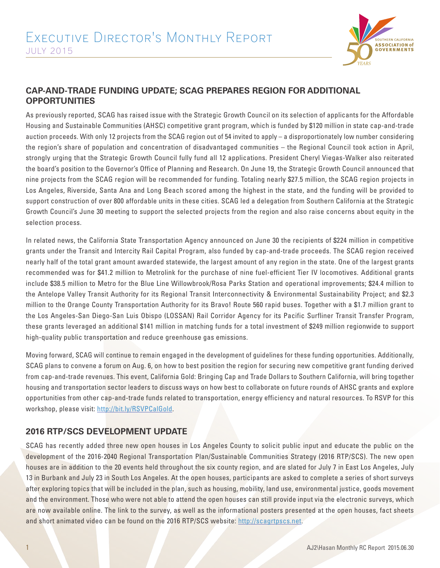

## **CAP-AND-TRADE FUNDING UPDATE; SCAG PREPARES REGION FOR ADDITIONAL OPPORTUNITIES**

As previously reported, SCAG has raised issue with the Strategic Growth Council on its selection of applicants for the Affordable Housing and Sustainable Communities (AHSC) competitive grant program, which is funded by \$120 million in state cap-and-trade auction proceeds. With only 12 projects from the SCAG region out of 54 invited to apply – a disproportionately low number considering the region's share of population and concentration of disadvantaged communities – the Regional Council took action in April, strongly urging that the Strategic Growth Council fully fund all 12 applications. President Cheryl Viegas-Walker also reiterated the board's position to the Governor's Office of Planning and Research. On June 19, the Strategic Growth Council announced that nine projects from the SCAG region will be recommended for funding. Totaling nearly \$27.5 million, the SCAG region projects in Los Angeles, Riverside, Santa Ana and Long Beach scored among the highest in the state, and the funding will be provided to support construction of over 800 affordable units in these cities. SCAG led a delegation from Southern California at the Strategic Growth Council's June 30 meeting to support the selected projects from the region and also raise concerns about equity in the selection process.

In related news, the California State Transportation Agency announced on June 30 the recipients of \$224 million in competitive grants under the Transit and Intercity Rail Capital Program, also funded by cap-and-trade proceeds. The SCAG region received nearly half of the total grant amount awarded statewide, the largest amount of any region in the state. One of the largest grants recommended was for \$41.2 million to Metrolink for the purchase of nine fuel-efficient Tier IV locomotives. Additional grants include \$38.5 million to Metro for the Blue Line Willowbrook/Rosa Parks Station and operational improvements; \$24.4 million to the Antelope Valley Transit Authority for its Regional Transit Interconnectivity & Environmental Sustainability Project; and \$2.3 million to the Orange County Transportation Authority for its Bravo! Route 560 rapid buses. Together with a \$1.7 million grant to the Los Angeles-San Diego-San Luis Obispo (LOSSAN) Rail Corridor Agency for its Pacific Surfliner Transit Transfer Program, these grants leveraged an additional \$141 million in matching funds for a total investment of \$249 million regionwide to support high-quality public transportation and reduce greenhouse gas emissions.

Moving forward, SCAG will continue to remain engaged in the development of guidelines for these funding opportunities. Additionally, SCAG plans to convene a forum on Aug. 6, on how to best position the region for securing new competitive grant funding derived from cap-and-trade revenues. This event, California Gold: Bringing Cap and Trade Dollars to Southern California, will bring together housing and transportation sector leaders to discuss ways on how best to collaborate on future rounds of AHSC grants and explore opportunities from other cap-and-trade funds related to transportation, energy efficiency and natural resources. To RSVP for this workshop, please visit: http://bit.ly/RSVPCalGold.

## **2016 RTP/SCS DEVELOPMENT UPDATE**

SCAG has recently added three new open houses in Los Angeles County to solicit public input and educate the public on the development of the 2016-2040 Regional Transportation Plan/Sustainable Communities Strategy (2016 RTP/SCS). The new open houses are in addition to the 20 events held throughout the six county region, and are slated for July 7 in East Los Angeles, July 13 in Burbank and July 23 in South Los Angeles. At the open houses, participants are asked to complete a series of short surveys after exploring topics that will be included in the plan, such as housing, mobility, land use, environmental justice, goods movement and the environment. Those who were not able to attend the open houses can still provide input via the electronic surveys, which are now available online. The link to the survey, as well as the informational posters presented at the open houses, fact sheets and short animated video can be found on the 2016 RTP/SCS website: http://scagrtpscs.net.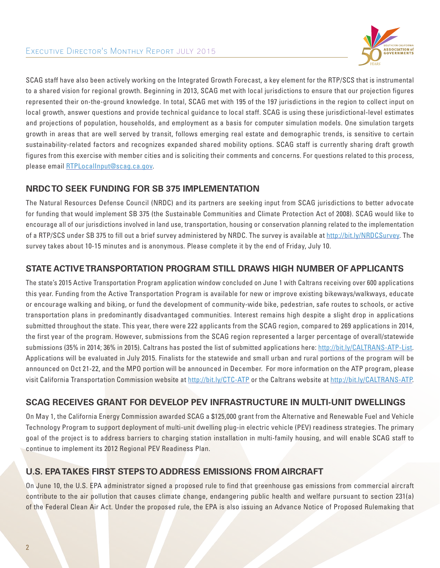

SCAG staff have also been actively working on the Integrated Growth Forecast, a key element for the RTP/SCS that is instrumental to a shared vision for regional growth. Beginning in 2013, SCAG met with local jurisdictions to ensure that our projection figures represented their on-the-ground knowledge. In total, SCAG met with 195 of the 197 jurisdictions in the region to collect input on local growth, answer questions and provide technical guidance to local staff. SCAG is using these jurisdictional-level estimates and projections of population, households, and employment as a basis for computer simulation models. One simulation targets growth in areas that are well served by transit, follows emerging real estate and demographic trends, is sensitive to certain sustainability-related factors and recognizes expanded shared mobility options. SCAG staff is currently sharing draft growth figures from this exercise with member cities and is soliciting their comments and concerns. For questions related to this process, please email RTPLocalInput@scag.ca.gov.

## **NRDC TO SEEK FUNDING FOR SB 375 IMPLEMENTATION**

The Natural Resources Defense Council (NRDC) and its partners are seeking input from SCAG jurisdictions to better advocate for funding that would implement SB 375 (the Sustainable Communities and Climate Protection Act of 2008). SCAG would like to encourage all of our jurisdictions involved in land use, transportation, housing or conservation planning related to the implementation of a RTP/SCS under SB 375 to fill out a brief survey administered by NRDC. The survey is available at http://bit.ly/NRDCSurvey. The survey takes about 10-15 minutes and is anonymous. Please complete it by the end of Friday, July 10.

#### **STATE ACTIVE TRANSPORTATION PROGRAM STILL DRAWS HIGH NUMBER OF APPLICANTS**

The state's 2015 Active Transportation Program application window concluded on June 1 with Caltrans receiving over 600 applications this year. Funding from the Active Transportation Program is available for new or improve existing bikeways/walkways, educate or encourage walking and biking, or fund the development of community-wide bike, pedestrian, safe routes to schools, or active transportation plans in predominantly disadvantaged communities. Interest remains high despite a slight drop in applications submitted throughout the state. This year, there were 222 applicants from the SCAG region, compared to 269 applications in 2014, the first year of the program. However, submissions from the SCAG region represented a larger percentage of overall/statewide submissions (35% in 2014; 36% in 2015). Caltrans has posted the list of submitted applications here: http://bit.ly/CALTRANS-ATP-List. Applications will be evaluated in July 2015. Finalists for the statewide and small urban and rural portions of the program will be announced on Oct 21-22, and the MPO portion will be announced in December. For more information on the ATP program, please visit California Transportation Commission website at http://bit.ly/CTC-ATP or the Caltrans website at http://bit.ly/CALTRANS-ATP.

## **SCAG RECEIVES GRANT FOR DEVELOP PEV INFRASTRUCTURE IN MULTI-UNIT DWELLINGS**

On May 1, the California Energy Commission awarded SCAG a \$125,000 grant from the Alternative and Renewable Fuel and Vehicle Technology Program to support deployment of multi-unit dwelling plug-in electric vehicle (PEV) readiness strategies. The primary goal of the project is to address barriers to charging station installation in multi-family housing, and will enable SCAG staff to continue to implement its 2012 Regional PEV Readiness Plan.

# **U.S. EPA TAKES FIRST STEPS TO ADDRESS EMISSIONS FROM AIRCRAFT**

On June 10, the U.S. EPA administrator signed a proposed rule to find that greenhouse gas emissions from commercial aircraft contribute to the air pollution that causes climate change, endangering public health and welfare pursuant to section 231(a) of the Federal Clean Air Act. Under the proposed rule, the EPA is also issuing an Advance Notice of Proposed Rulemaking that